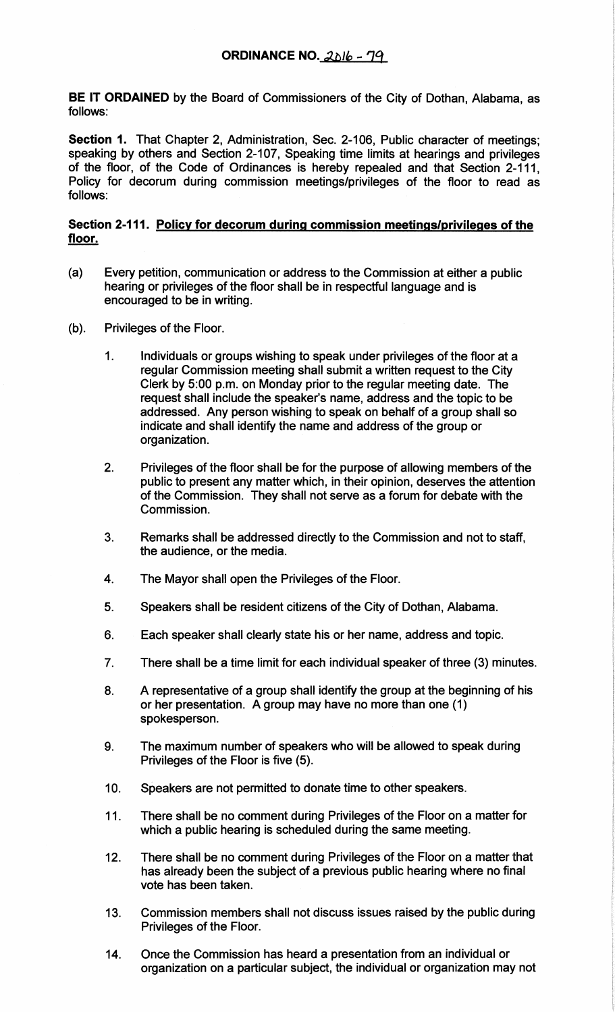BE IT ORDAINED by the Board of Commissioners of the City of Dothan, Alabama, as follows:

Section 1. That Chapter 2, Administration, Sec. 2-106, Public character of meetings; speaking by others and Section 2-107, Speaking time limits at hearings and privileges of the floor, of the Code of Ordinances is hereby repealed and that Section 2-111, Policy for decorum during commission meetings/privileges of the floor to read as follows:

## Section 2-111. Policy for decorum during commission meetings/privileges of the floor.

- (a) Every petition, communication or address to the Commission at either a public hearing or privileges of the floor shall be in respectful language and is encouraged to be in writing.
- (b). Privileges of the Floor.
	- 1. Individuals or groups wishing to speak under privileges of the floor at a regular Commission meeting shall submit a written request to the City Clerk by 5:00 p.m. on Monday prior to the regular meeting date. The request shall include the speaker's name, address and the topic to be addressed. Any person wishing to speak on behalf of a group shall so indicate and shall identify the name and address of the group or organization.
	- 2. Privileges of the floor shall be for the purpose of allowing members of the public to present any matter which, in their opinion, deserves the attention of the Commission. They shall not serve as a forum for debate with the Commission.
	- 3. Remarks shall be addressed directly to the Commission and not to staff, the audience, or the media.
	- 4. The Mayor shall open the Privileges of the Floor.
	- 5. Speakers shall be resident citizens of the City of Dothan, Alabama.
	- 6. Each speaker shall clearly state his or her name, address and topic.
	- 7. There shall be a time limit for each individual speaker of three (3) minutes.
	- 8. A representative of a group shall identify the group at the beginning of his or her presentation. A group may have no more than one (1) spokesperson.
	- 9. The maximum number of speakers who will be allowed to speak during Privileges of the Floor is five (5).
	- 10. Speakers are not permitted to donate time to other speakers.
	- 11. There shall be no comment during Privileges of the Floor on a matter for which a public hearing is scheduled during the same meeting.
	- 12. There shall be no comment during Privileges of the Floor on a matter that has already been the subject of a previous public hearing where no final vote has been taken.
	- 13. Commission members shall not discuss issues raised by the public during Privileges of the Floor.
	- 14. Once the Commission has heard a presentation from an individual or organization on a particular subject, the individual or organization may not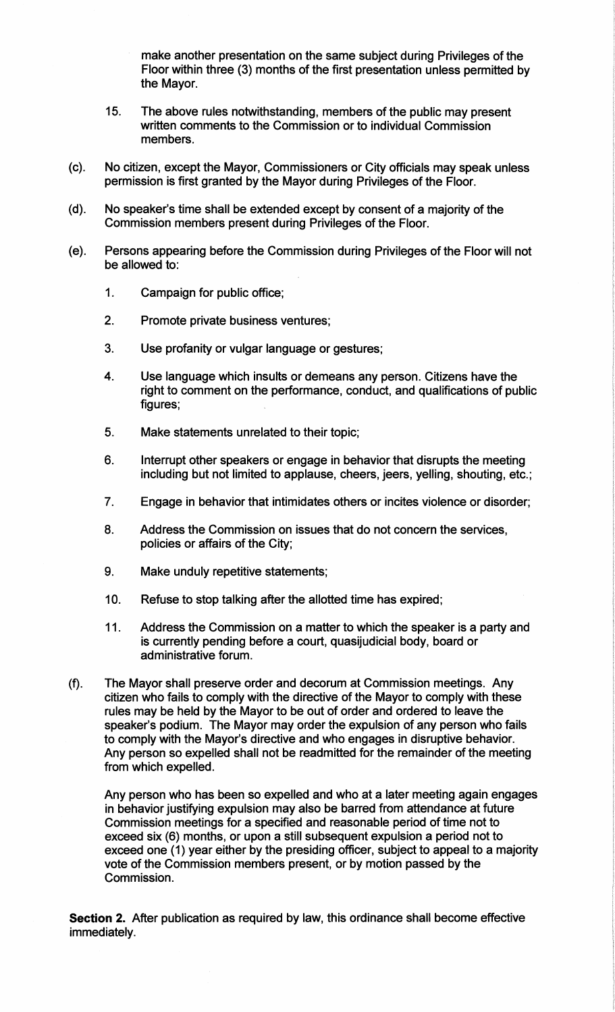make another presentation on the same subject during Privileges of the Floor within three (3) months of the first presentation unless permitted by the Mayor.

- 15. The above rules notwithstanding, members of the public may present written comments to the Commission or to individual Commission members.
- (c). No citizen, except the Mayor, Commissioners or City officials may speak unless permission is first granted by the Mayor during Privileges of the Floor.
- (d). No speaker's time shall be extended except by consent of a majority of the Commission members present during Privileges of the Floor.
- (e). Persons appearing before the Commission during Privileges of the Floor will not be allowed to:
	- 1. Campaign for public office;
	- 2. Promote private business ventures;
	- 3. Use profanity or vulgar language or gestures;
	- 4. Use language which insults or demeans any person. Citizens have the right to comment on the performance, conduct, and qualifications of public figures;
	- 5. Make statements unrelated to their topic;
	- 6. Interrupt other speakers or engage in behavior that disrupts the meeting including but not limited to applause, cheers, jeers, yelling, shouting, etc.;
	- 7. Engage in behavior that intimidates others or incites violence or disorder;
	- 8. Address the Commission on issues that do not concern the services, policies or affairs of the City;
	- 9. Make unduly repetitive statements;
	- 10. Refuse to stop talking after the allotted time has expired;
	- 11. Address the Commission on a matter to which the speaker is a party and is currently pending before a court, quasijudicial body, board or administrative forum.
- (f). The Mayor shall preserve order and decorum at Commission meetings. Any citizen who fails to comply with the directive of the Mayor to comply with these rules may be held by the Mayor to be out of order and ordered to leave the speaker's podium. The Mayor may order the expulsion of any person who fails to comply with the Mayor's directive and who engages in disruptive behavior. Any person so expelled shall not be readmitted for the remainder of the meeting from which expelled.

Any person who has been so expelled and who at a later meeting again engages in behavior justifying expulsion may also be barred from attendance at future Commission meetings for a specified and reasonable period of time not to exceed six (6) months, or upon a still subsequent expulsion a period not to exceed one (1) year either by the presiding officer, subject to appeal to a majority vote of the Commission members present, or by motion passed by the Commission.

**Section** 2. After publication as required by law, this ordinance shall become effective immediately.